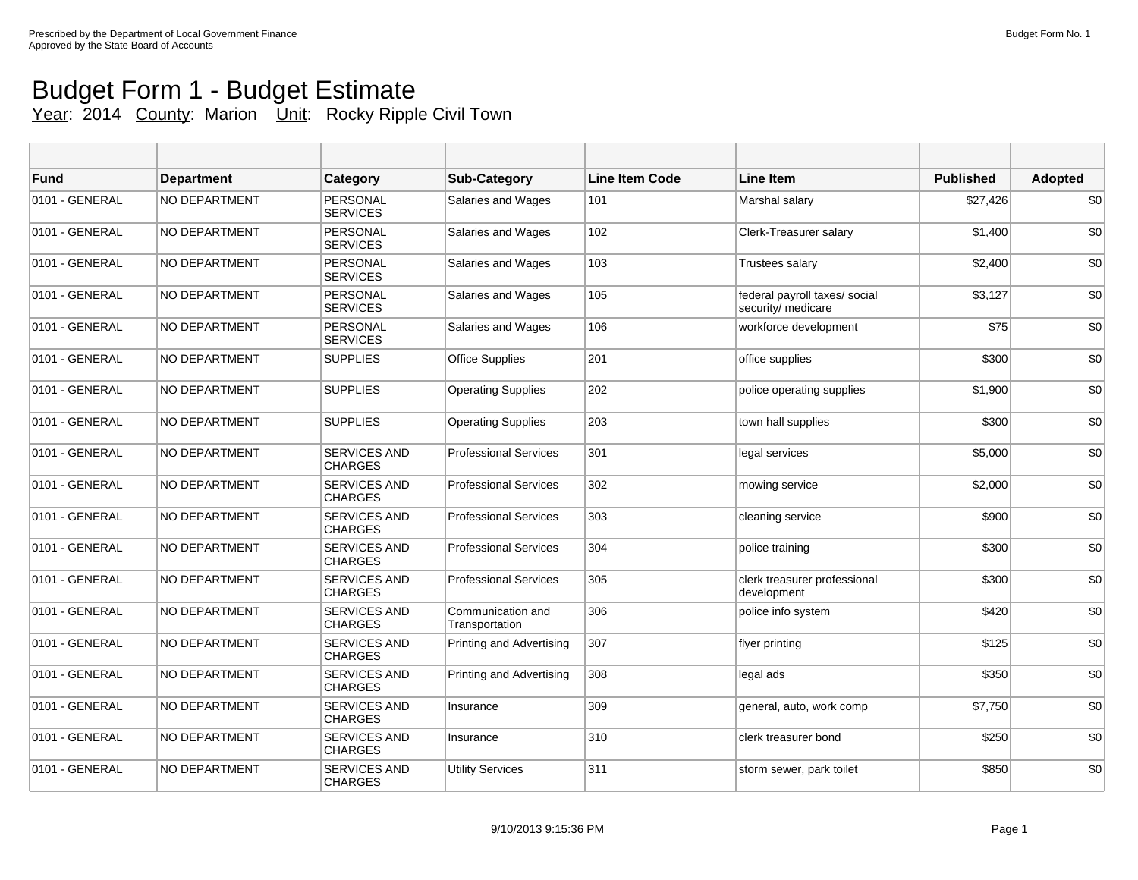## Budget Form 1 - Budget Estimate Year: 2014 County: Marion Unit: Rocky Ripple Civil Town

| <b>Fund</b>    | <b>Department</b>    | <b>Category</b>                       | <b>Sub-Category</b>                 | <b>Line Item Code</b> | <b>Line Item</b>                                    | <b>Published</b> | <b>Adopted</b> |
|----------------|----------------------|---------------------------------------|-------------------------------------|-----------------------|-----------------------------------------------------|------------------|----------------|
| 0101 - GENERAL | NO DEPARTMENT        | PERSONAL<br><b>SERVICES</b>           | Salaries and Wages                  | 101                   | Marshal salary                                      | \$27,426         | \$0            |
| 0101 - GENERAL | <b>NO DEPARTMENT</b> | PERSONAL<br><b>SERVICES</b>           | Salaries and Wages                  | 102                   | Clerk-Treasurer salary                              | \$1,400          | \$0            |
| 0101 - GENERAL | <b>NO DEPARTMENT</b> | PERSONAL<br><b>SERVICES</b>           | Salaries and Wages                  | 103                   | <b>Trustees salary</b>                              | \$2,400          | \$0            |
| 0101 - GENERAL | <b>NO DEPARTMENT</b> | <b>PERSONAL</b><br><b>SERVICES</b>    | Salaries and Wages                  | 105                   | federal payroll taxes/ social<br>security/ medicare | \$3,127          | \$0            |
| 0101 - GENERAL | <b>NO DEPARTMENT</b> | <b>PERSONAL</b><br><b>SERVICES</b>    | Salaries and Wages                  | 106                   | workforce development                               | \$75             | \$0            |
| 0101 - GENERAL | <b>NO DEPARTMENT</b> | <b>SUPPLIES</b>                       | <b>Office Supplies</b>              | 201                   | office supplies                                     | \$300            | \$0            |
| 0101 - GENERAL | <b>NO DEPARTMENT</b> | <b>SUPPLIES</b>                       | <b>Operating Supplies</b>           | 202                   | police operating supplies                           | \$1,900          | \$0            |
| 0101 - GENERAL | <b>NO DEPARTMENT</b> | <b>SUPPLIES</b>                       | <b>Operating Supplies</b>           | 203                   | town hall supplies                                  | \$300            | \$0            |
| 0101 - GENERAL | <b>NO DEPARTMENT</b> | <b>SERVICES AND</b><br><b>CHARGES</b> | <b>Professional Services</b>        | 301                   | legal services                                      | \$5,000          | \$0            |
| 0101 - GENERAL | <b>NO DEPARTMENT</b> | SERVICES AND<br><b>CHARGES</b>        | <b>Professional Services</b>        | 302                   | mowing service                                      | \$2,000          | \$0            |
| 0101 - GENERAL | <b>NO DEPARTMENT</b> | SERVICES AND<br><b>CHARGES</b>        | <b>Professional Services</b>        | 303                   | cleaning service                                    | \$900            | \$0            |
| 0101 - GENERAL | <b>NO DEPARTMENT</b> | <b>SERVICES AND</b><br><b>CHARGES</b> | <b>Professional Services</b>        | 304                   | police training                                     | \$300            | \$0            |
| 0101 - GENERAL | NO DEPARTMENT        | SERVICES AND<br><b>CHARGES</b>        | <b>Professional Services</b>        | 305                   | clerk treasurer professional<br>development         | \$300            | \$0            |
| 0101 - GENERAL | <b>NO DEPARTMENT</b> | <b>SERVICES AND</b><br><b>CHARGES</b> | Communication and<br>Transportation | 306                   | police info system                                  | \$420            | \$0            |
| 0101 - GENERAL | <b>NO DEPARTMENT</b> | <b>SERVICES AND</b><br><b>CHARGES</b> | <b>Printing and Advertising</b>     | 307                   | flyer printing                                      | \$125            | \$0            |
| 0101 - GENERAL | <b>NO DEPARTMENT</b> | SERVICES AND<br><b>CHARGES</b>        | <b>Printing and Advertising</b>     | 308                   | legal ads                                           | \$350            | \$0            |
| 0101 - GENERAL | <b>NO DEPARTMENT</b> | <b>SERVICES AND</b><br><b>CHARGES</b> | Insurance                           | 309                   | general, auto, work comp                            | \$7,750          | \$0            |
| 0101 - GENERAL | <b>NO DEPARTMENT</b> | <b>SERVICES AND</b><br><b>CHARGES</b> | Insurance                           | 310                   | clerk treasurer bond                                | \$250            | \$0            |
| 0101 - GENERAL | <b>NO DEPARTMENT</b> | SERVICES AND<br><b>CHARGES</b>        | <b>Utility Services</b>             | 311                   | storm sewer, park toilet                            | \$850            | \$0            |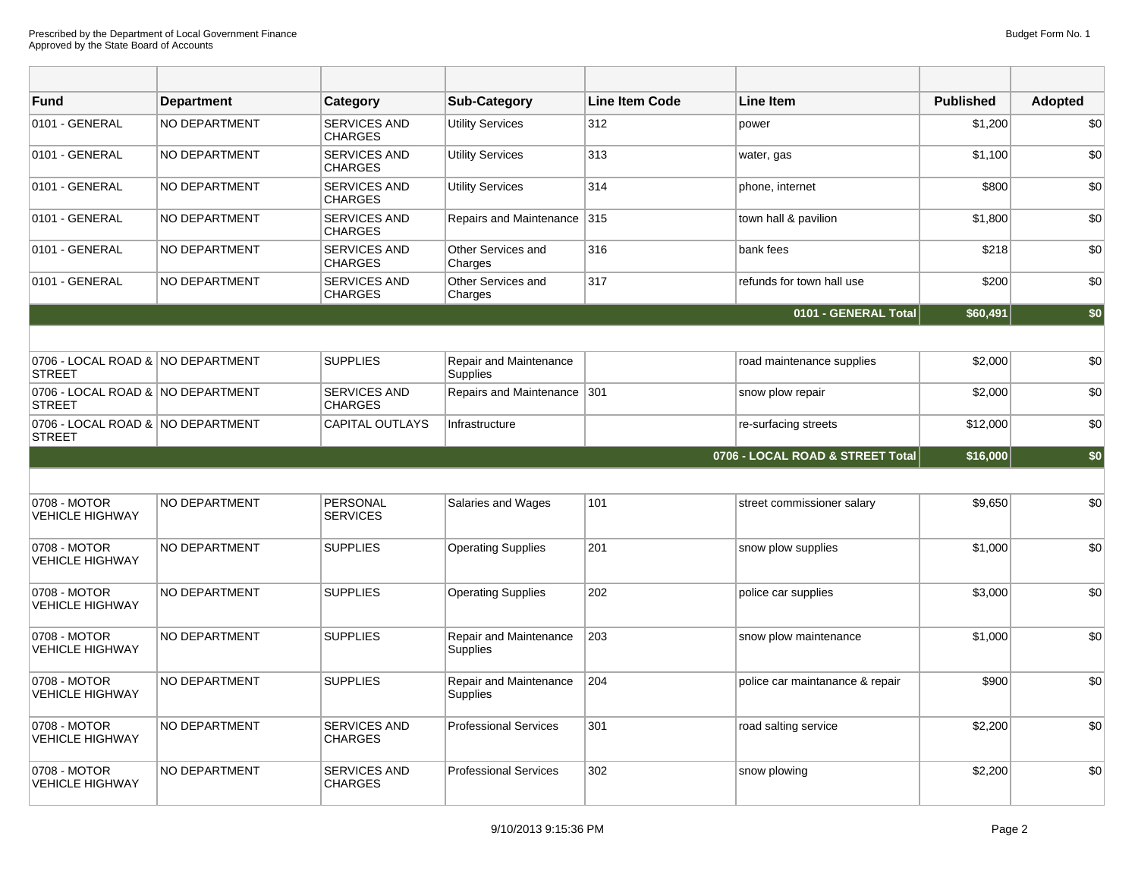| <b>Fund</b>                                        | <b>Department</b>    | Category                              | <b>Sub-Category</b>                       | <b>Line Item Code</b> | <b>Line Item</b>                 | <b>Published</b> | <b>Adopted</b> |
|----------------------------------------------------|----------------------|---------------------------------------|-------------------------------------------|-----------------------|----------------------------------|------------------|----------------|
| 0101 - GENERAL                                     | <b>NO DEPARTMENT</b> | SERVICES AND<br><b>CHARGES</b>        | <b>Utility Services</b>                   | 312                   | power                            | \$1,200          | \$0            |
| 0101 - GENERAL                                     | NO DEPARTMENT        | <b>SERVICES AND</b><br><b>CHARGES</b> | <b>Utility Services</b>                   | 313                   | water, gas                       | \$1,100          | \$0            |
| 0101 - GENERAL                                     | NO DEPARTMENT        | SERVICES AND<br><b>CHARGES</b>        | <b>Utility Services</b>                   | 314                   | phone, internet                  | \$800            | \$0            |
| 0101 - GENERAL                                     | NO DEPARTMENT        | SERVICES AND<br><b>CHARGES</b>        | Repairs and Maintenance 315               |                       | town hall & pavilion             | \$1,800          | \$0            |
| 0101 - GENERAL                                     | <b>NO DEPARTMENT</b> | SERVICES AND<br><b>CHARGES</b>        | Other Services and<br>Charges             | 316                   | bank fees                        | \$218            | \$0            |
| 0101 - GENERAL                                     | NO DEPARTMENT        | SERVICES AND<br><b>CHARGES</b>        | Other Services and<br>Charges             | 317                   | refunds for town hall use        | \$200            | \$0            |
|                                                    |                      |                                       |                                           |                       | 0101 - GENERAL Total             | \$60,491         | \$0            |
|                                                    |                      |                                       |                                           |                       |                                  |                  |                |
| 0706 - LOCAL ROAD & NO DEPARTMENT<br><b>STREET</b> |                      | <b>SUPPLIES</b>                       | Repair and Maintenance<br><b>Supplies</b> |                       | road maintenance supplies        | \$2,000          | \$0            |
| 0706 - LOCAL ROAD & NO DEPARTMENT<br><b>STREET</b> |                      | SERVICES AND<br><b>CHARGES</b>        | Repairs and Maintenance 301               |                       | snow plow repair                 | \$2,000          | \$0            |
| 0706 - LOCAL ROAD & NO DEPARTMENT<br><b>STREET</b> |                      | <b>CAPITAL OUTLAYS</b>                | Infrastructure                            |                       | re-surfacing streets             | \$12,000         | \$0            |
|                                                    |                      |                                       |                                           |                       | 0706 - LOCAL ROAD & STREET Total | \$16,000         | \$0            |
|                                                    |                      |                                       |                                           |                       |                                  |                  |                |
| 0708 - MOTOR<br><b>VEHICLE HIGHWAY</b>             | <b>NO DEPARTMENT</b> | PERSONAL<br><b>SERVICES</b>           | Salaries and Wages                        | 101                   | street commissioner salary       | \$9,650          | \$0            |
| 0708 - MOTOR<br><b>VEHICLE HIGHWAY</b>             | <b>NO DEPARTMENT</b> | <b>SUPPLIES</b>                       | <b>Operating Supplies</b>                 | 201                   | snow plow supplies               | \$1,000          | \$0            |
| 0708 - MOTOR<br><b>VEHICLE HIGHWAY</b>             | <b>NO DEPARTMENT</b> | <b>SUPPLIES</b>                       | <b>Operating Supplies</b>                 | 202                   | police car supplies              | \$3,000          | \$0            |
| 0708 - MOTOR<br><b>VEHICLE HIGHWAY</b>             | NO DEPARTMENT        | <b>SUPPLIES</b>                       | Repair and Maintenance<br><b>Supplies</b> | 203                   | snow plow maintenance            | \$1,000          | \$0            |
| 0708 - MOTOR<br><b>VEHICLE HIGHWAY</b>             | NO DEPARTMENT        | <b>SUPPLIES</b>                       | Repair and Maintenance<br><b>Supplies</b> | 204                   | police car maintanance & repair  | \$900            | \$0            |
| 0708 - MOTOR<br><b>VEHICLE HIGHWAY</b>             | <b>NO DEPARTMENT</b> | <b>SERVICES AND</b><br><b>CHARGES</b> | <b>Professional Services</b>              | 301                   | road salting service             | \$2,200          | \$0            |
| 0708 - MOTOR<br><b>VEHICLE HIGHWAY</b>             | <b>NO DEPARTMENT</b> | <b>SERVICES AND</b><br><b>CHARGES</b> | <b>Professional Services</b>              | 302                   | snow plowing                     | \$2,200          | \$0            |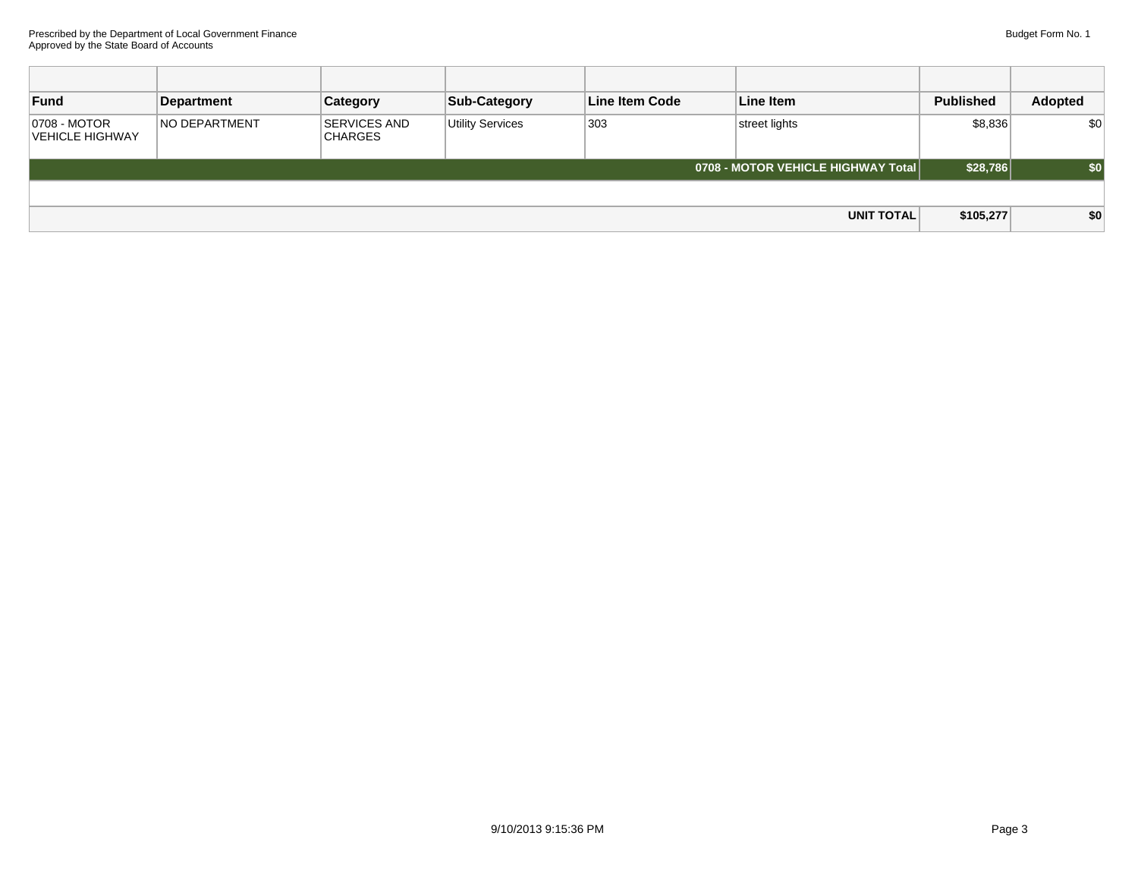| Fund                            | Department           | <b>Category</b>                       | <b>Sub-Category</b>     | Line Item Code | Line Item                          | <b>Published</b> | Adopted |
|---------------------------------|----------------------|---------------------------------------|-------------------------|----------------|------------------------------------|------------------|---------|
| 0708 - MOTOR<br>VEHICLE HIGHWAY | <b>NO DEPARTMENT</b> | <b>SERVICES AND</b><br><b>CHARGES</b> | <b>Utility Services</b> | 303            | street lights                      | \$8,836          | \$0     |
|                                 |                      |                                       |                         |                | 0708 - MOTOR VEHICLE HIGHWAY Total | \$28,786         | \$0     |
|                                 |                      |                                       |                         |                |                                    |                  |         |
|                                 |                      |                                       |                         |                | <b>UNIT TOTAL</b>                  | \$105,277        | \$0     |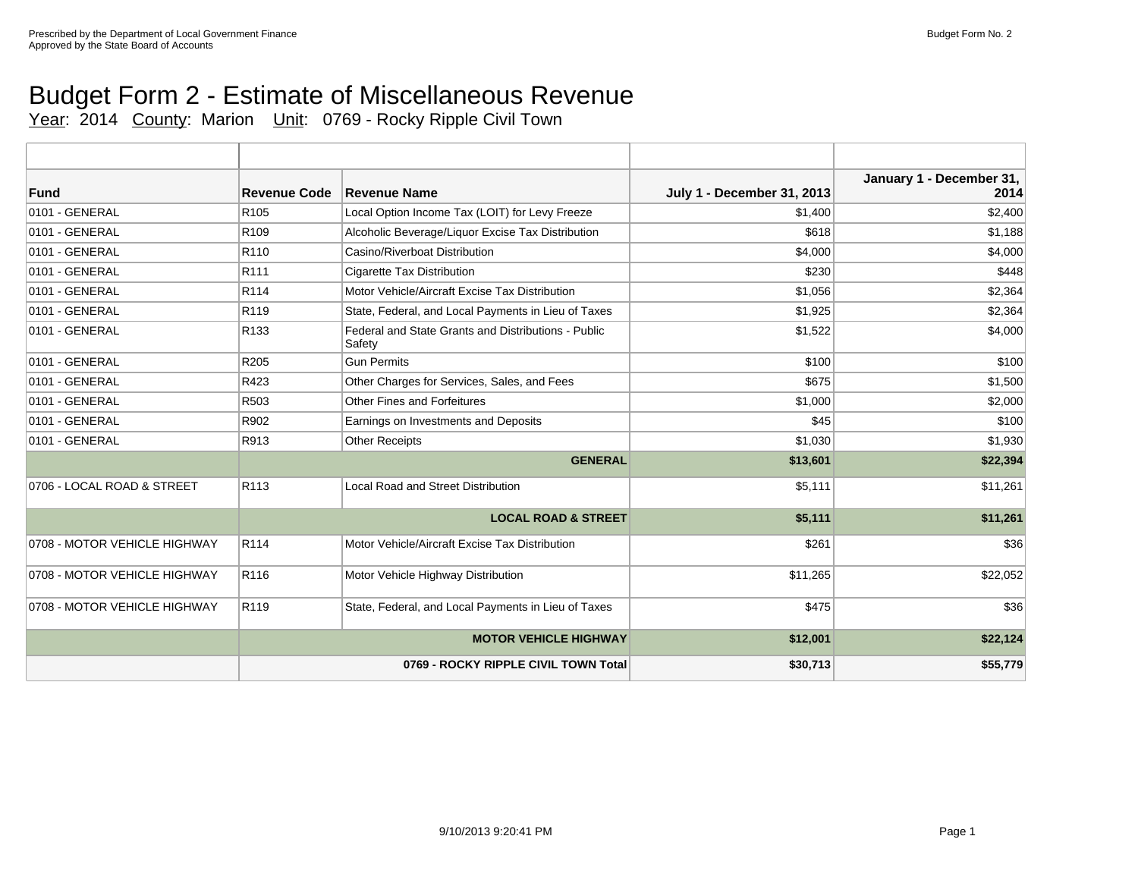# Budget Form 2 - Estimate of Miscellaneous Revenue

Year: 2014 County: Marion Unit: 0769 - Rocky Ripple Civil Town

| Fund                         | <b>Revenue Code</b> | Revenue Name                                                  | <b>July 1 - December 31, 2013</b> | January 1 - December 31,<br>2014 |
|------------------------------|---------------------|---------------------------------------------------------------|-----------------------------------|----------------------------------|
| 0101 - GENERAL               | R <sub>105</sub>    | Local Option Income Tax (LOIT) for Levy Freeze                | \$1,400                           | \$2,400                          |
| 0101 - GENERAL               | R <sub>109</sub>    | Alcoholic Beverage/Liquor Excise Tax Distribution             | \$618                             | \$1,188                          |
| 0101 - GENERAL               | R <sub>110</sub>    | Casino/Riverboat Distribution                                 | \$4,000                           | \$4,000                          |
| 0101 - GENERAL               | R111                | <b>Cigarette Tax Distribution</b>                             | \$230                             | \$448                            |
| 0101 - GENERAL               | R114                | Motor Vehicle/Aircraft Excise Tax Distribution                | \$1,056                           | \$2,364                          |
| 0101 - GENERAL               | R <sub>119</sub>    | State, Federal, and Local Payments in Lieu of Taxes           | \$1,925                           | \$2,364                          |
| 0101 - GENERAL               | R <sub>133</sub>    | Federal and State Grants and Distributions - Public<br>Safety | \$1,522                           | \$4,000                          |
| 0101 - GENERAL               | R <sub>205</sub>    | <b>Gun Permits</b>                                            | \$100                             | \$100                            |
| 0101 - GENERAL               | R423                | Other Charges for Services, Sales, and Fees                   | \$675                             | \$1,500                          |
| 0101 - GENERAL               | R503                | <b>Other Fines and Forfeitures</b>                            | \$1,000                           | \$2,000                          |
| 0101 - GENERAL               | R902                | Earnings on Investments and Deposits                          | \$45                              | \$100                            |
| 0101 - GENERAL               | R913                | <b>Other Receipts</b>                                         | \$1,030                           | \$1,930                          |
|                              |                     | <b>GENERAL</b>                                                | \$13,601                          | \$22,394                         |
| 0706 - LOCAL ROAD & STREET   | R <sub>113</sub>    | <b>Local Road and Street Distribution</b>                     | \$5,111                           | \$11,261                         |
|                              |                     | <b>LOCAL ROAD &amp; STREET</b>                                | \$5,111                           | \$11,261                         |
| 0708 - MOTOR VEHICLE HIGHWAY | R114                | Motor Vehicle/Aircraft Excise Tax Distribution                | \$261                             | \$36                             |
| 0708 - MOTOR VEHICLE HIGHWAY | R116                | Motor Vehicle Highway Distribution                            | \$11,265                          | \$22,052                         |
| 0708 - MOTOR VEHICLE HIGHWAY | R119                | State, Federal, and Local Payments in Lieu of Taxes           | \$475                             | \$36                             |
|                              |                     | <b>MOTOR VEHICLE HIGHWAY</b>                                  | \$12,001                          | \$22,124                         |
|                              |                     | 0769 - ROCKY RIPPLE CIVIL TOWN Total                          | \$30,713                          | \$55,779                         |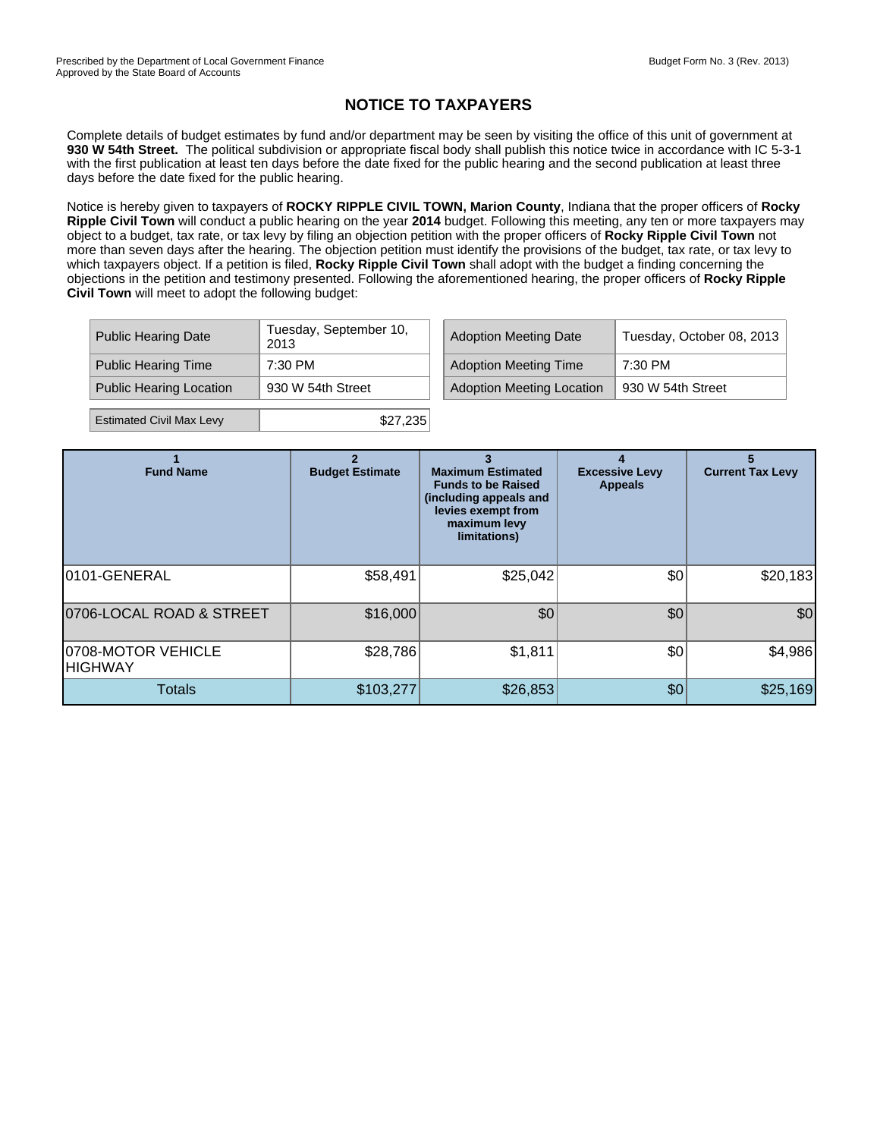#### **NOTICE TO TAXPAYERS**

Complete details of budget estimates by fund and/or department may be seen by visiting the office of this unit of government at **930 W 54th Street.** The political subdivision or appropriate fiscal body shall publish this notice twice in accordance with IC 5-3-1 with the first publication at least ten days before the date fixed for the public hearing and the second publication at least three days before the date fixed for the public hearing.

Notice is hereby given to taxpayers of **ROCKY RIPPLE CIVIL TOWN, Marion County**, Indiana that the proper officers of **Rocky Ripple Civil Town** will conduct a public hearing on the year **2014** budget. Following this meeting, any ten or more taxpayers may object to a budget, tax rate, or tax levy by filing an objection petition with the proper officers of **Rocky Ripple Civil Town** not more than seven days after the hearing. The objection petition must identify the provisions of the budget, tax rate, or tax levy to which taxpayers object. If a petition is filed, **Rocky Ripple Civil Town** shall adopt with the budget a finding concerning the objections in the petition and testimony presented. Following the aforementioned hearing, the proper officers of **Rocky Ripple Civil Town** will meet to adopt the following budget:

| <b>Public Hearing Date</b>      | Tuesday, September 10,<br>2013 | <b>Adoption Meeting Date</b>     | Tuesday, October 08, 2013 |
|---------------------------------|--------------------------------|----------------------------------|---------------------------|
| <b>Public Hearing Time</b>      | 7:30 PM                        | <b>Adoption Meeting Time</b>     | 7:30 PM                   |
| <b>Public Hearing Location</b>  | 930 W 54th Street              | <b>Adoption Meeting Location</b> | 930 W 54th Street         |
| <b>Estimated Civil Max Levy</b> | \$27,235                       |                                  |                           |

| <b>Fund Name</b>               | <b>Budget Estimate</b> | <b>Maximum Estimated</b><br><b>Funds to be Raised</b><br>(including appeals and<br>levies exempt from<br>maximum levy<br>limitations) | <b>Excessive Levy</b><br><b>Appeals</b> | <b>Current Tax Levy</b> |
|--------------------------------|------------------------|---------------------------------------------------------------------------------------------------------------------------------------|-----------------------------------------|-------------------------|
| 0101-GENERAL                   | \$58,491               | \$25,042                                                                                                                              | \$0                                     | \$20,183                |
| 0706-LOCAL ROAD & STREET       | \$16,000               | \$0                                                                                                                                   | \$0                                     | \$0                     |
| 0708-MOTOR VEHICLE<br> HIGHWAY | \$28,786               | \$1,811                                                                                                                               | \$0                                     | \$4,986                 |
| <b>Totals</b>                  | \$103,277              | \$26,853                                                                                                                              | \$0                                     | \$25,169                |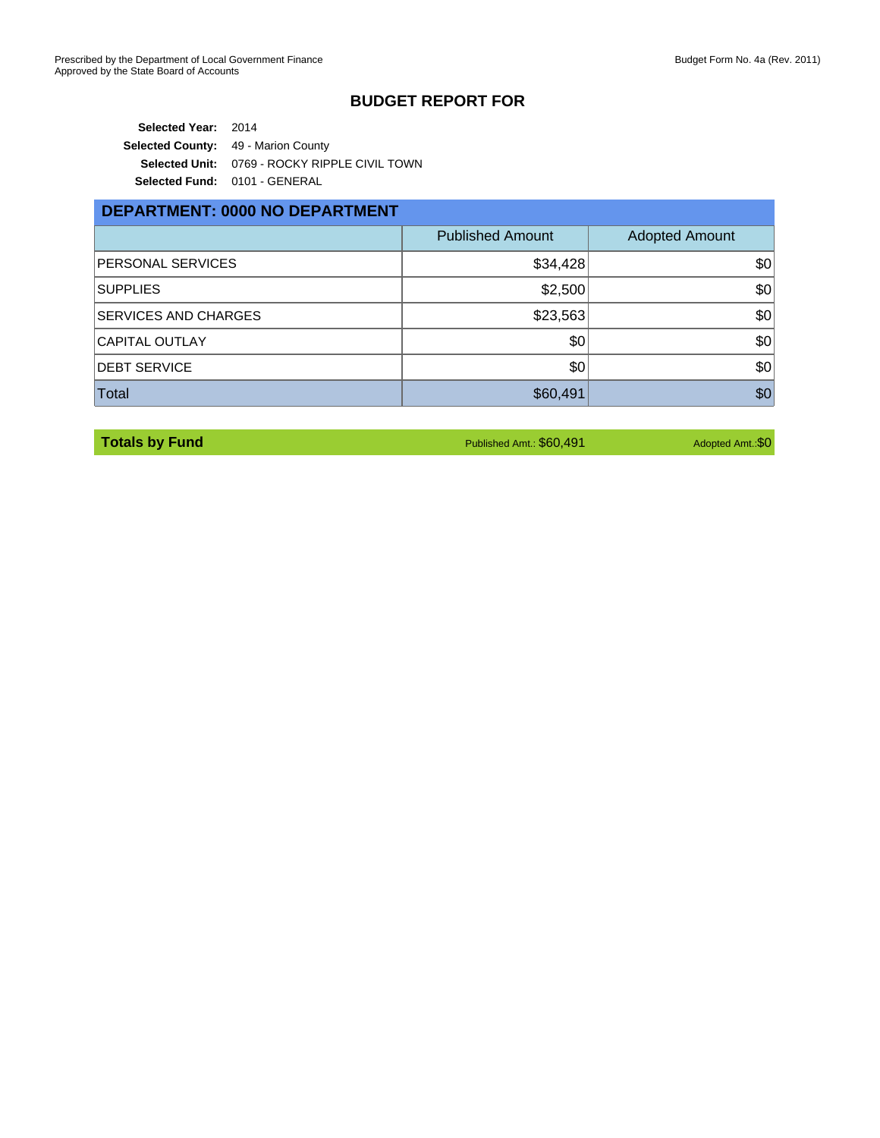#### **BUDGET REPORT FOR**

**Selected Year:** 2014 **Selected County:** 49 - Marion County **Selected Unit:** 0769 - ROCKY RIPPLE CIVIL TOWN **Selected Fund:** 0101 - GENERAL

#### **DEPARTMENT: 0000 NO DEPARTMENT**

|                             | <b>Published Amount</b> | <b>Adopted Amount</b> |
|-----------------------------|-------------------------|-----------------------|
| <b>PERSONAL SERVICES</b>    | \$34,428                | \$0                   |
| <b>SUPPLIES</b>             | \$2,500                 | \$0                   |
| <b>SERVICES AND CHARGES</b> | \$23,563                | \$0                   |
| CAPITAL OUTLAY              | \$0                     | \$0                   |
| <b>DEBT SERVICE</b>         | \$0                     | \$0                   |
| <b>Total</b>                | \$60,491                | \$0                   |

**Totals by Fund** Amt.: \$0,491 Adopted Amt.: \$0,491 Adopted Amt.: \$0,491 Adopted Amt.: \$0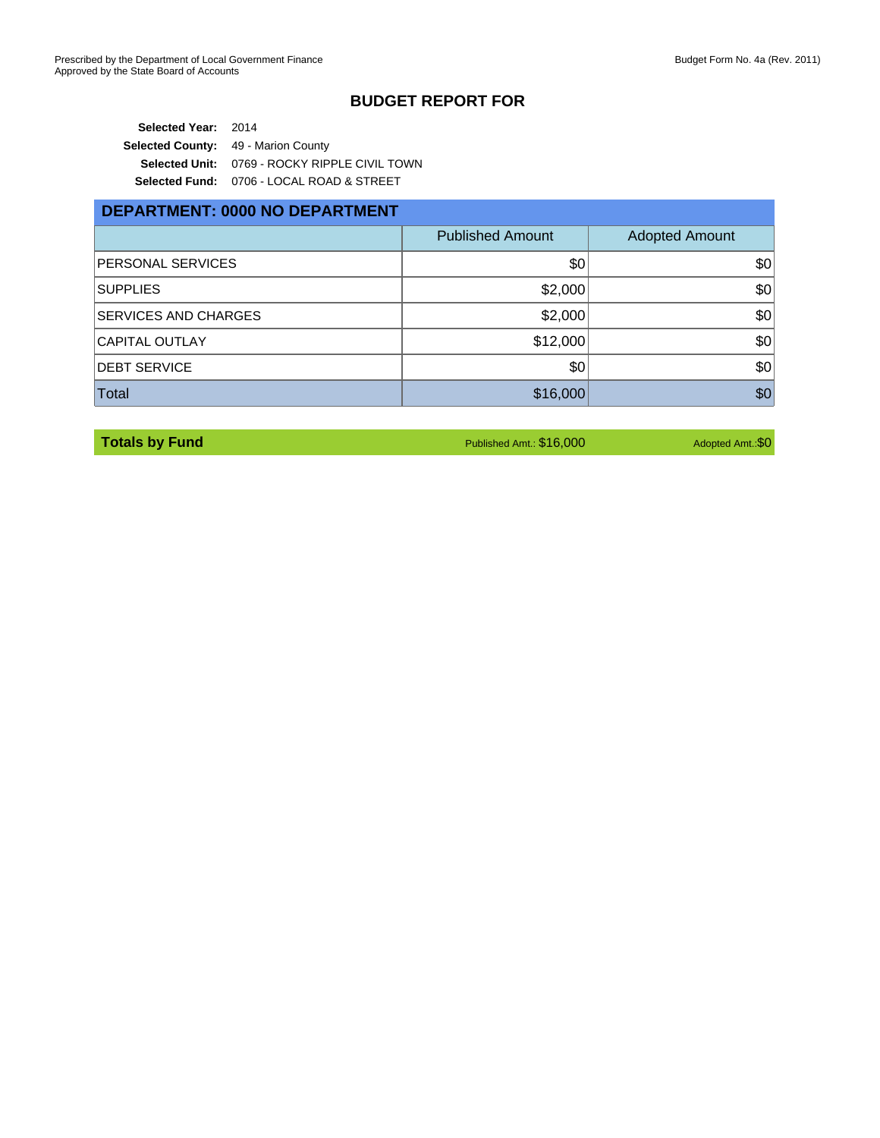#### **BUDGET REPORT FOR**

**Selected Year:** 2014 **Selected County:** 49 - Marion County **Selected Unit:** 0769 - ROCKY RIPPLE CIVIL TOWN **Selected Fund:** 0706 - LOCAL ROAD & STREET

| <b>DEPARTMENT: 0000 NO DEPARTMENT</b> |                         |                       |  |  |  |
|---------------------------------------|-------------------------|-----------------------|--|--|--|
|                                       | <b>Published Amount</b> | <b>Adopted Amount</b> |  |  |  |
| PERSONAL SERVICES                     | \$0                     | \$0                   |  |  |  |
| <b>SUPPLIES</b>                       | \$2,000                 | \$0                   |  |  |  |
| SERVICES AND CHARGES                  | \$2,000                 | \$0                   |  |  |  |
| <b>CAPITAL OUTLAY</b>                 | \$12,000                | \$0                   |  |  |  |
| <b>DEBT SERVICE</b>                   | \$0                     | \$0                   |  |  |  |
| Total                                 | \$16,000                | \$0                   |  |  |  |

**Totals by Fund** Amt.: \$16,000 Adopted Amt.: \$16,000 Adopted Amt.: \$16,000 Adopted Amt.: \$0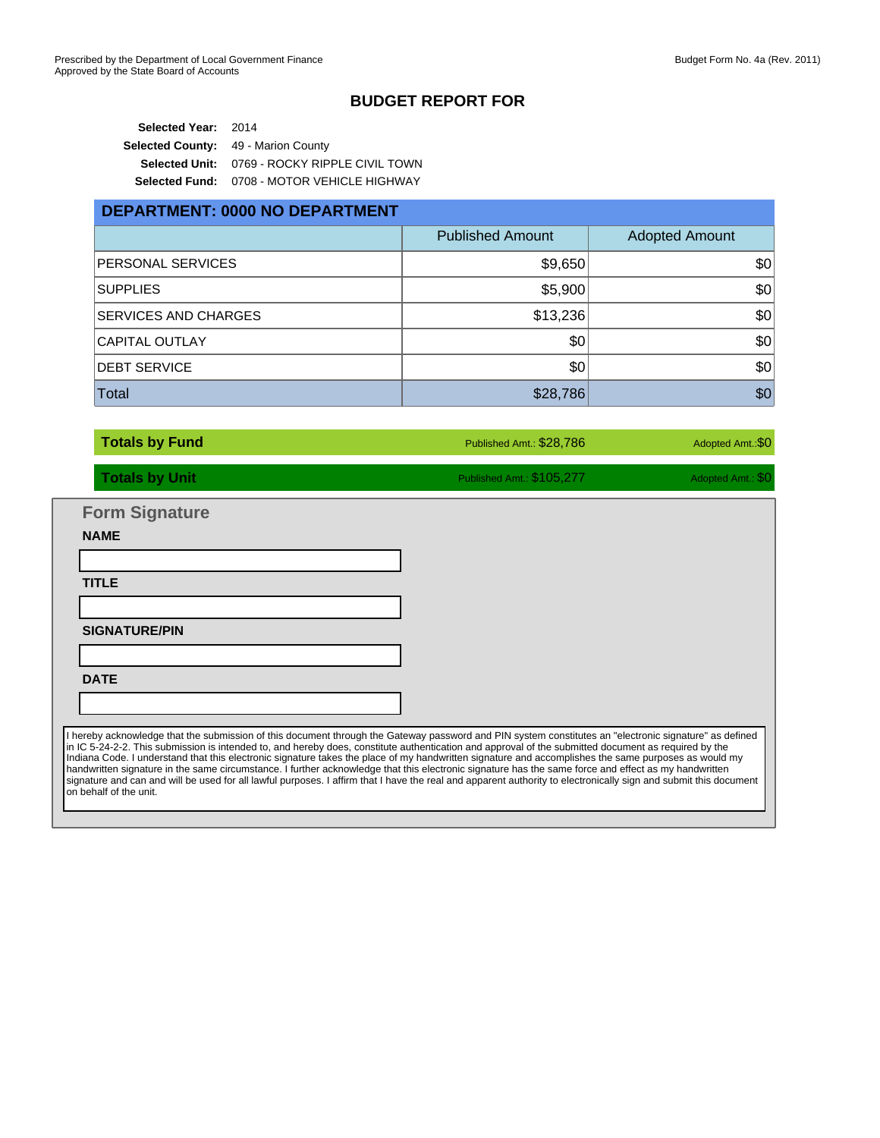#### **BUDGET REPORT FOR**

**Selected Year:** 2014 **Selected County:** 49 - Marion County **Selected Unit:** 0769 - ROCKY RIPPLE CIVIL TOWN **Selected Fund:** 0708 - MOTOR VEHICLE HIGHWAY

## **DEPARTMENT: 0000 NO DEPARTMENT** Published Amount | Adopted Amount PERSONAL SERVICES **\$9,650** \$9,650  $\sim$  ${\sf SUPPLIES} \hspace{1.5cm} {\sf \$5,900} \hspace{1.5cm} {\sf \$5,900}$ SERVICES AND CHARGES  $$13,236$   $$0$ CAPITAL OUTLAY GO AND THE RESERVE THAT IS A RESERVE TO A SO IN THE SOLUTION OF SOME AND SO IN THE SOLUTION OF SO DEBT SERVICE \$0 \$0 Total  $\sim$  500  $\,$  500  $\,$  500  $\,$  500  $\,$  500  $\,$  500  $\,$  500  $\,$  500  $\,$  500  $\,$  500  $\,$  500  $\,$  500  $\,$  500  $\,$  500  $\,$  500  $\,$  500  $\,$  500  $\,$  500  $\,$  500  $\,$  500  $\,$  500  $\,$  500  $\,$  500  $\,$  500

**Totals by Fund** Amt.: \$28,786 Adopted Amt.: \$0 **Totals by Unit** Published Amt.: \$105,277 Adopted Amt.: \$105,277 Adopted Amt.: \$005,277 Adopted Amt.: \$0 **Form Signature** I hereby acknowledge that the submission of this document through the Gateway password and PIN system constitutes an "electronic signature" as defined in IC 5-24-2-2. This submission is intended to, and hereby does, constitute authentication and approval of the submitted document as required by the Indiana Code. I understand that this electronic signature takes the place of my handwritten signature and accomplishes the same purposes as would my handwritten signature in the same circumstance. I further acknowledge that this electronic signature has the same force and effect as my handwritten signature and can and will be used for all lawful purposes. I affirm that I have the real and apparent authority to electronically sign and submit this document on behalf of the unit. **NAME TITLE SIGNATURE/PIN DATE**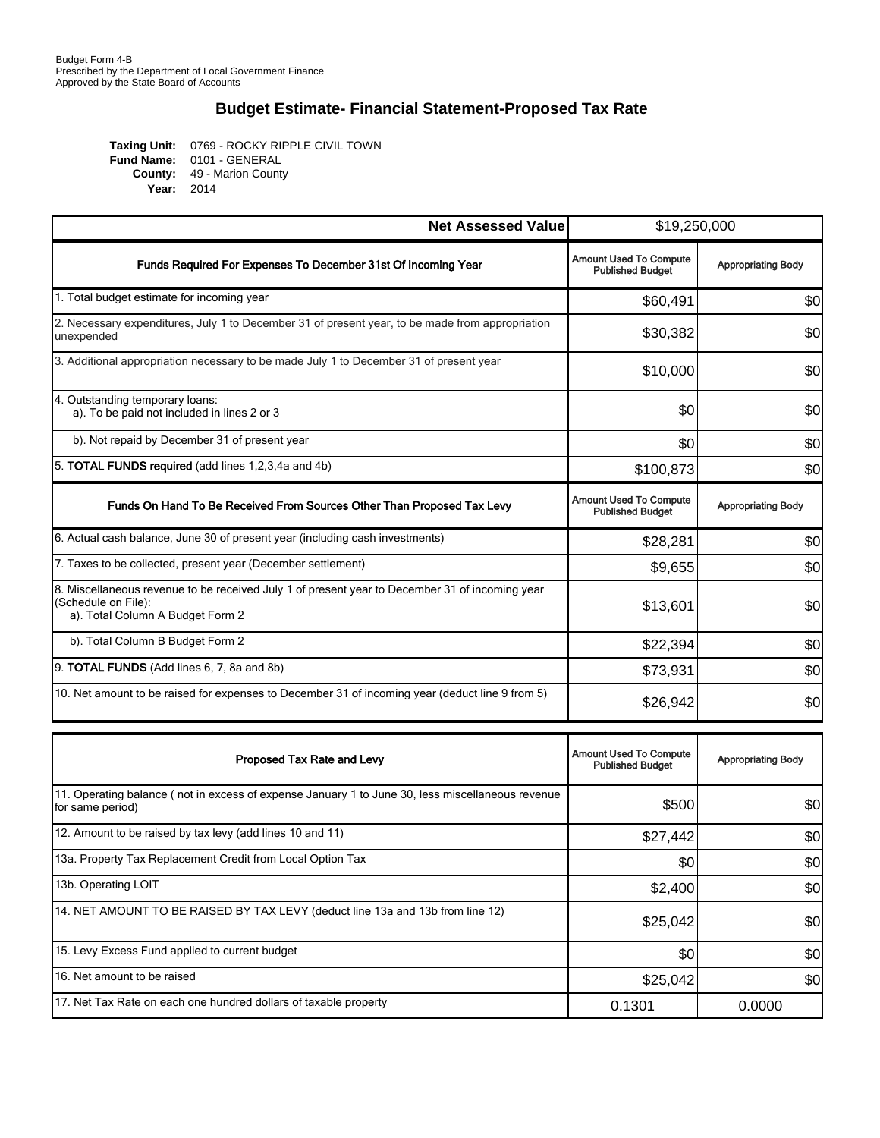### **Budget Estimate- Financial Statement-Proposed Tax Rate**

0769 - ROCKY RIPPLE CIVIL TOWN 0101 - GENERAL 49 - Marion County 2014 **Taxing Unit: Fund Name: County: Year:**

| <b>Net Assessed Value</b>                                                                                                                                 | \$19,250,000                                             |                           |
|-----------------------------------------------------------------------------------------------------------------------------------------------------------|----------------------------------------------------------|---------------------------|
| Funds Required For Expenses To December 31st Of Incoming Year                                                                                             | <b>Amount Used To Compute</b><br><b>Published Budget</b> | <b>Appropriating Body</b> |
| 1. Total budget estimate for incoming year                                                                                                                | \$60,491                                                 | \$0                       |
| 2. Necessary expenditures, July 1 to December 31 of present year, to be made from appropriation<br>unexpended                                             | \$30,382                                                 | \$0                       |
| 3. Additional appropriation necessary to be made July 1 to December 31 of present year                                                                    | \$10,000                                                 | \$0                       |
| 4. Outstanding temporary loans:<br>a). To be paid not included in lines 2 or 3                                                                            | \$0                                                      | \$0                       |
| b). Not repaid by December 31 of present year                                                                                                             | \$0                                                      | \$0                       |
| 5. TOTAL FUNDS required (add lines 1,2,3,4a and 4b)                                                                                                       | \$100,873                                                | \$0                       |
| Funds On Hand To Be Received From Sources Other Than Proposed Tax Levy                                                                                    | <b>Amount Used To Compute</b><br><b>Published Budget</b> | <b>Appropriating Body</b> |
| 6. Actual cash balance, June 30 of present year (including cash investments)                                                                              | \$28,281                                                 | \$0                       |
| 7. Taxes to be collected, present year (December settlement)                                                                                              | \$9,655                                                  | \$0                       |
| 8. Miscellaneous revenue to be received July 1 of present year to December 31 of incoming year<br>(Schedule on File):<br>a). Total Column A Budget Form 2 | \$13,601                                                 | \$0                       |
| b). Total Column B Budget Form 2                                                                                                                          | \$22,394                                                 | \$0                       |
| 9. TOTAL FUNDS (Add lines 6, 7, 8a and 8b)                                                                                                                | \$73,931                                                 | \$0                       |
| 10. Net amount to be raised for expenses to December 31 of incoming year (deduct line 9 from 5)                                                           | \$26,942                                                 | \$0                       |
| Proposed Tax Rate and Levy                                                                                                                                | <b>Amount Used To Compute</b><br><b>Published Budget</b> | <b>Appropriating Body</b> |

| Proposed Tax Rate and Levy                                                                                           | Tenograpode To Oblingto<br><b>Published Budget</b> | <b>Appropriating Body</b> |
|----------------------------------------------------------------------------------------------------------------------|----------------------------------------------------|---------------------------|
| 11. Operating balance (not in excess of expense January 1 to June 30, less miscellaneous revenue<br>for same period) | \$500                                              | \$0                       |
| 12. Amount to be raised by tax levy (add lines 10 and 11)                                                            | \$27,442                                           | \$0                       |
| 13a. Property Tax Replacement Credit from Local Option Tax                                                           | \$0                                                | \$0                       |
| 13b. Operating LOIT                                                                                                  | \$2,400                                            | \$0                       |
| 14. NET AMOUNT TO BE RAISED BY TAX LEVY (deduct line 13a and 13b from line 12)                                       | \$25,042                                           | \$0                       |
| 15. Levy Excess Fund applied to current budget                                                                       | \$0                                                | \$0                       |
| 16. Net amount to be raised                                                                                          | \$25,042                                           | \$0                       |
| 17. Net Tax Rate on each one hundred dollars of taxable property                                                     | 0.1301                                             | 0.0000                    |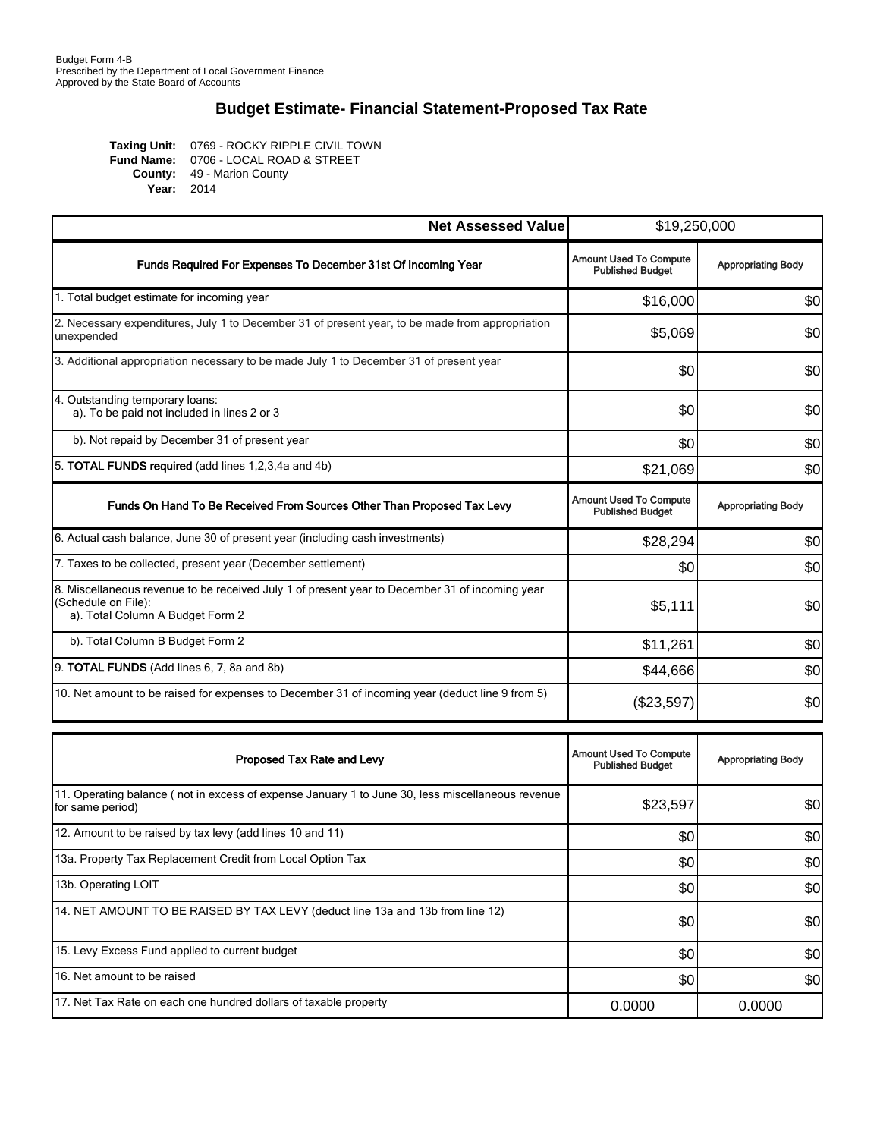### **Budget Estimate- Financial Statement-Proposed Tax Rate**

0769 - ROCKY RIPPLE CIVIL TOWN 0706 - LOCAL ROAD & STREET 49 - Marion County 2014 **Taxing Unit: Fund Name: County: Year:**

| <b>Net Assessed Value</b>                                                                                                                                 | \$19,250,000                                             |                           |
|-----------------------------------------------------------------------------------------------------------------------------------------------------------|----------------------------------------------------------|---------------------------|
| Funds Required For Expenses To December 31st Of Incoming Year                                                                                             | <b>Amount Used To Compute</b><br><b>Published Budget</b> | <b>Appropriating Body</b> |
| 1. Total budget estimate for incoming year                                                                                                                | \$16,000                                                 | \$0                       |
| 2. Necessary expenditures, July 1 to December 31 of present year, to be made from appropriation<br>unexpended                                             | \$5,069                                                  | \$0                       |
| 3. Additional appropriation necessary to be made July 1 to December 31 of present year                                                                    | \$0                                                      | \$0                       |
| 4. Outstanding temporary loans:<br>a). To be paid not included in lines 2 or 3                                                                            | \$0                                                      | \$0                       |
| b). Not repaid by December 31 of present year                                                                                                             | \$0                                                      | \$0                       |
| 5. TOTAL FUNDS required (add lines 1,2,3,4a and 4b)                                                                                                       | \$21,069                                                 | \$0                       |
| Funds On Hand To Be Received From Sources Other Than Proposed Tax Levy                                                                                    | <b>Amount Used To Compute</b><br><b>Published Budget</b> | <b>Appropriating Body</b> |
| 6. Actual cash balance, June 30 of present year (including cash investments)                                                                              | \$28,294                                                 | \$0                       |
| 7. Taxes to be collected, present year (December settlement)                                                                                              | \$0                                                      | \$0                       |
| 8. Miscellaneous revenue to be received July 1 of present year to December 31 of incoming year<br>(Schedule on File):<br>a). Total Column A Budget Form 2 | \$5,111                                                  | \$0                       |
| b). Total Column B Budget Form 2                                                                                                                          | \$11,261                                                 | \$0                       |
| 9. TOTAL FUNDS (Add lines 6, 7, 8a and 8b)                                                                                                                | \$44,666                                                 | \$0                       |
| 10. Net amount to be raised for expenses to December 31 of incoming year (deduct line 9 from 5)                                                           | (\$23,597)                                               | \$0                       |
| Proposed Tax Rate and Levy                                                                                                                                | <b>Amount Used To Compute</b><br><b>Published Budget</b> | <b>Appropriating Body</b> |
| 11. Operating balance (not in excess of expense January 1 to June 30, less miscellaneous revenue<br>for same period)                                      | \$23,597                                                 | \$0                       |
| 12. Amount to be raised by tax levy (add lines 10 and 11)                                                                                                 | \$0                                                      | \$0                       |
| 13a. Property Tax Replacement Credit from Local Option Tax                                                                                                | \$0                                                      | \$0                       |

| 13a. Property Tax Replacement Credit from Local Option Tax                     | \$0    | \$0l   |
|--------------------------------------------------------------------------------|--------|--------|
| 13b. Operating LOIT                                                            | \$0    | \$0    |
| 14. NET AMOUNT TO BE RAISED BY TAX LEVY (deduct line 13a and 13b from line 12) | \$0    | \$0    |
| 15. Levy Excess Fund applied to current budget                                 | \$0    | \$0    |
| 16. Net amount to be raised                                                    | \$0    | \$0    |
| 17. Net Tax Rate on each one hundred dollars of taxable property               | 0.0000 | 0.0000 |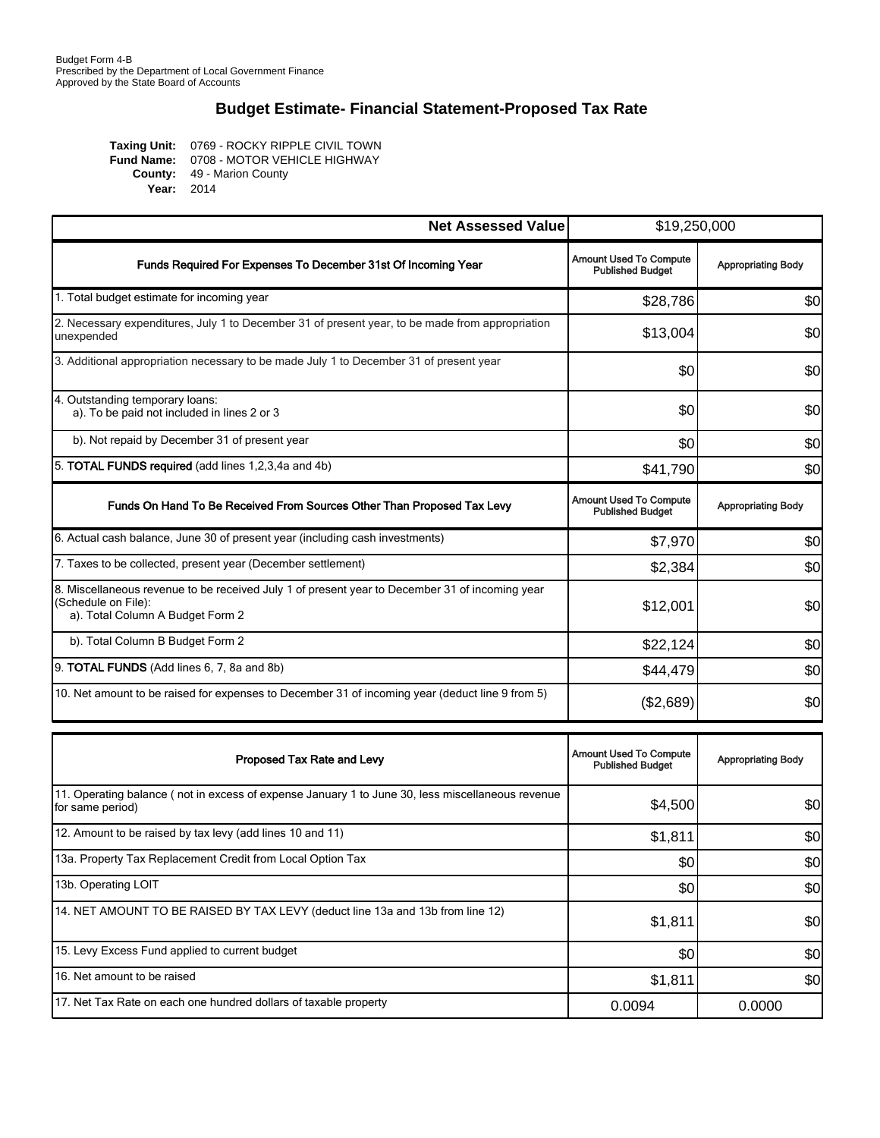### **Budget Estimate- Financial Statement-Proposed Tax Rate**

Taxing Unit: 0769 - ROCKY RIPPLE CIVIL TOWN 0708 - MOTOR VEHICLE HIGHWAY 49 - Marion County 2014 **Year:Fund Name: County:**

| <b>Net Assessed Value</b>                                                                                                                                 | \$19,250,000                                             |                           |
|-----------------------------------------------------------------------------------------------------------------------------------------------------------|----------------------------------------------------------|---------------------------|
| Funds Required For Expenses To December 31st Of Incoming Year                                                                                             | <b>Amount Used To Compute</b><br><b>Published Budget</b> | <b>Appropriating Body</b> |
| 1. Total budget estimate for incoming year                                                                                                                | \$28,786                                                 | \$0                       |
| 2. Necessary expenditures, July 1 to December 31 of present year, to be made from appropriation<br>unexpended                                             | \$13,004                                                 | \$0                       |
| 3. Additional appropriation necessary to be made July 1 to December 31 of present year                                                                    | \$0                                                      | \$0                       |
| 4. Outstanding temporary loans:<br>a). To be paid not included in lines 2 or 3                                                                            | \$0                                                      | \$0                       |
| b). Not repaid by December 31 of present year                                                                                                             | \$0                                                      | \$0                       |
| 5. TOTAL FUNDS required (add lines 1,2,3,4a and 4b)                                                                                                       | \$41,790                                                 | \$0                       |
| Funds On Hand To Be Received From Sources Other Than Proposed Tax Levy                                                                                    | <b>Amount Used To Compute</b><br><b>Published Budget</b> | <b>Appropriating Body</b> |
| 6. Actual cash balance, June 30 of present year (including cash investments)                                                                              | \$7,970                                                  | \$0                       |
| 7. Taxes to be collected, present year (December settlement)                                                                                              | \$2,384                                                  | \$0                       |
| 8. Miscellaneous revenue to be received July 1 of present year to December 31 of incoming year<br>(Schedule on File):<br>a). Total Column A Budget Form 2 | \$12,001                                                 | \$0                       |
| b). Total Column B Budget Form 2                                                                                                                          | \$22,124                                                 | \$0                       |
| 9. TOTAL FUNDS (Add lines 6, 7, 8a and 8b)                                                                                                                | \$44,479                                                 | \$0                       |
| 10. Net amount to be raised for expenses to December 31 of incoming year (deduct line 9 from 5)                                                           | (\$2,689)                                                | \$0                       |
|                                                                                                                                                           |                                                          |                           |
| Proposed Tax Rate and Levy                                                                                                                                | <b>Amount Used To Compute</b><br><b>Published Budget</b> | <b>Appropriating Body</b> |
| 11. Operating balance (not in excess of expense January 1 to June 30, less miscellaneous revenue<br>for same period)                                      | \$4,500                                                  | \$0                       |

| 12. Amount to be raised by tax levy (add lines 10 and 11)                      | \$1,811 | \$0    |
|--------------------------------------------------------------------------------|---------|--------|
| 13a. Property Tax Replacement Credit from Local Option Tax                     | \$0     | \$0    |
| 13b. Operating LOIT                                                            | \$0     | \$0    |
| 14. NET AMOUNT TO BE RAISED BY TAX LEVY (deduct line 13a and 13b from line 12) | \$1,811 | \$0    |
| 15. Levy Excess Fund applied to current budget                                 | \$0     | \$0    |
| 16. Net amount to be raised                                                    | \$1,811 | \$0    |
| 17. Net Tax Rate on each one hundred dollars of taxable property               | 0.0094  | 0.0000 |